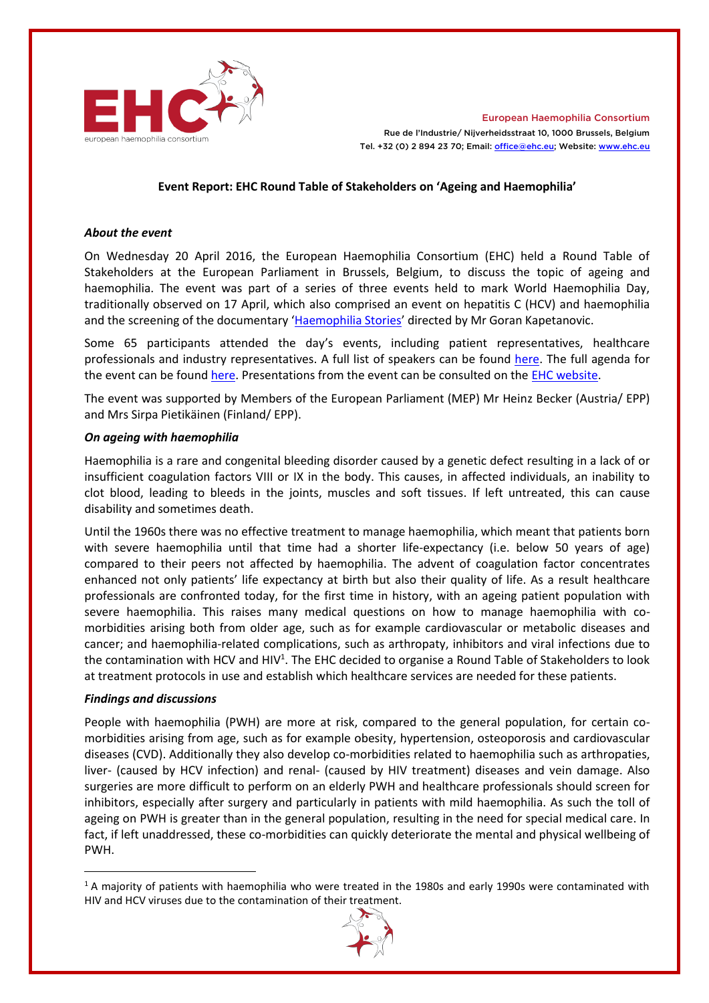

European Haemophilia Consortium Rue de l'Industrie/ Nijverheidsstraat 10, 1000 Brussels, Belgium Tel. +32 (0) 2 894 23 70; Email[: office@ehc.eu;](mailto:office@ehc.eu) Website: [www.ehc.eu](http://www.ehc.eu/)

## **Event Report: EHC Round Table of Stakeholders on 'Ageing and Haemophilia'**

#### *About the event*

On Wednesday 20 April 2016, the European Haemophilia Consortium (EHC) held a Round Table of Stakeholders at the European Parliament in Brussels, Belgium, to discuss the topic of ageing and haemophilia. The event was part of a series of three events held to mark World Haemophilia Day, traditionally observed on 17 April, which also comprised an event on hepatitis C (HCV) and haemophilia and the screening of the documentary '[Haemophilia Stories](http://haemophiliastories.eu/)' directed by Mr Goran Kapetanovic.

Some 65 participants attended the day's events, including patient representatives, healthcare professionals and industry representatives. A full list of speakers can be found [here.](http://static.ehc.eu/wp-content/uploads/EHC-WHD-2016-Bios.pdf) The full agenda for the event can be found [here.](http://static.ehc.eu/wp-content/uploads/EHC-April-2016-World-Haemophilia-Day-Event-Final-Programme-V7.pdf) Presentations from the event can be consulted on the [EHC website.](http://www.ehc.eu/events/ehc-2015-world-haemophilia-day-celebration/)

The event was supported by Members of the European Parliament (MEP) Mr Heinz Becker (Austria/ EPP) and Mrs Sirpa Pietikäinen (Finland/ EPP).

### *On ageing with haemophilia*

Haemophilia is a rare and congenital bleeding disorder caused by a genetic defect resulting in a lack of or insufficient coagulation factors VIII or IX in the body. This causes, in affected individuals, an inability to clot blood, leading to bleeds in the joints, muscles and soft tissues. If left untreated, this can cause disability and sometimes death.

Until the 1960s there was no effective treatment to manage haemophilia, which meant that patients born with severe haemophilia until that time had a shorter life-expectancy (i.e. below 50 years of age) compared to their peers not affected by haemophilia. The advent of coagulation factor concentrates enhanced not only patients' life expectancy at birth but also their quality of life. As a result healthcare professionals are confronted today, for the first time in history, with an ageing patient population with severe haemophilia. This raises many medical questions on how to manage haemophilia with comorbidities arising both from older age, such as for example cardiovascular or metabolic diseases and cancer; and haemophilia-related complications, such as arthropaty, inhibitors and viral infections due to the contamination with HCV and HIV<sup>1</sup>. The EHC decided to organise a Round Table of Stakeholders to look at treatment protocols in use and establish which healthcare services are needed for these patients.

# *Findings and discussions*

-

People with haemophilia (PWH) are more at risk, compared to the general population, for certain comorbidities arising from age, such as for example obesity, hypertension, osteoporosis and cardiovascular diseases (CVD). Additionally they also develop co-morbidities related to haemophilia such as arthropaties, liver- (caused by HCV infection) and renal- (caused by HIV treatment) diseases and vein damage. Also surgeries are more difficult to perform on an elderly PWH and healthcare professionals should screen for inhibitors, especially after surgery and particularly in patients with mild haemophilia. As such the toll of ageing on PWH is greater than in the general population, resulting in the need for special medical care. In fact, if left unaddressed, these co-morbidities can quickly deteriorate the mental and physical wellbeing of PWH.

<sup>&</sup>lt;sup>1</sup> A majority of patients with haemophilia who were treated in the 1980s and early 1990s were contaminated with HIV and HCV viruses due to the contamination of their treatment.